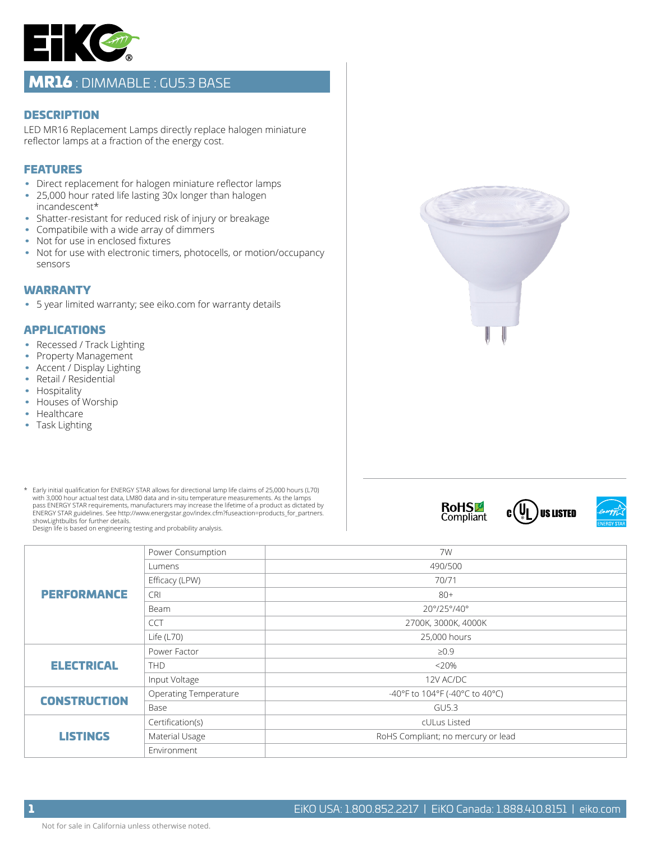

## MR16 : DIMMABLE : GU5.3 BASE

#### **DESCRIPTION**

LED MR16 Replacement Lamps directly replace halogen miniature reflector lamps at a fraction of the energy cost.

### FEATURES

- Direct replacement for halogen miniature reflector lamps
- 25,000 hour rated life lasting 30x longer than halogen incandescent\*
- Shatter-resistant for reduced risk of injury or breakage
- Compatibile with a wide array of dimmers
- Not for use in enclosed fixtures
- Not for use with electronic timers, photocells, or motion/occupancy sensors

#### WARRANTY

• 5 year limited warranty; see eiko.com for warranty details

#### APPLICATIONS

- Recessed / Track Lighting
- Property Management
- Accent / Display Lighting
- Retail / Residential
- Hospitality
- Houses of Worship
- Healthcare
- Task Lighting
- \*\* Early initial qualification for ENERGY STAR allows for directional lamp life claims of 25,000 hours (L70) with 3,000 hour actual test data, LM80 data and in-situ temperature measurements. As the lamps pass ENERGY STAR requirements, manufacturers may increase the lifetime of a product as dictated by ENERGY STAR guidelines. See http://www.energystar.gov/index.cfm?fuseaction=products\_for\_partners. showLightbulbs for further details.

Design life is based on engineering testing and probability analysis.



# **RoHSL**<br>Compliant





| <b>PERFORMANCE</b>  | Power Consumption            | 7W                                 |
|---------------------|------------------------------|------------------------------------|
|                     | Lumens                       | 490/500                            |
|                     | Efficacy (LPW)               | 70/71                              |
|                     | <b>CRI</b>                   | $80+$                              |
|                     | Beam                         | 20°/25°/40°                        |
|                     | <b>CCT</b>                   | 2700K, 3000K, 4000K                |
|                     | Life $(L70)$                 | 25,000 hours                       |
| <b>ELECTRICAL</b>   | Power Factor                 | $\geq 0.9$                         |
|                     | <b>THD</b>                   | < 20%                              |
|                     | Input Voltage                | 12V AC/DC                          |
| <b>CONSTRUCTION</b> | <b>Operating Temperature</b> | -40°F to 104°F (-40°C to 40°C)     |
|                     | Base                         | <b>GU5.3</b>                       |
| <b>LISTINGS</b>     | Certification(s)             | cULus Listed                       |
|                     | Material Usage               | RoHS Compliant; no mercury or lead |
|                     | Environment                  |                                    |